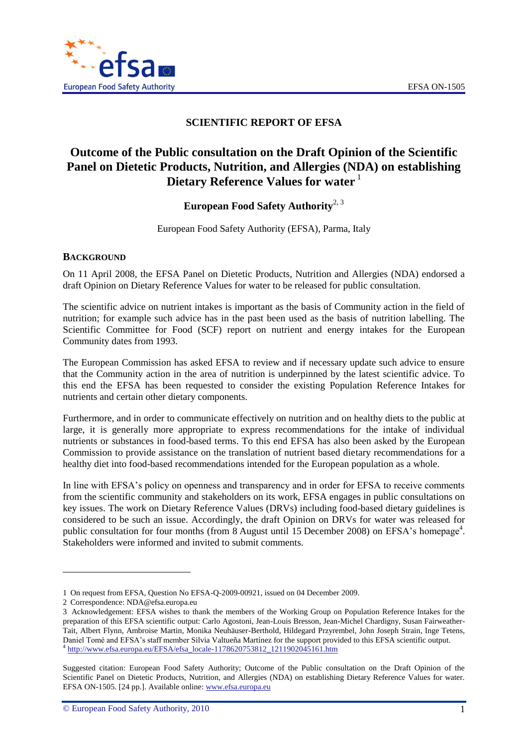

# **SCIENTIFIC REPORT OF EFSA**

# **Outcome of the Public consultation on the Draft Opinion of the Scientific Panel on Dietetic Products, Nutrition, and Allergies (NDA) on establishing Dietary Reference Values for water** <sup>1</sup>

**European Food Safety Authority**2, 3

European Food Safety Authority (EFSA), Parma, Italy

# **BACKGROUND**

On 11 April 2008, the EFSA Panel on Dietetic Products, Nutrition and Allergies (NDA) endorsed a draft Opinion on Dietary Reference Values for water to be released for public consultation.

The scientific advice on nutrient intakes is important as the basis of Community action in the field of nutrition; for example such advice has in the past been used as the basis of nutrition labelling. The Scientific Committee for Food (SCF) report on nutrient and energy intakes for the European Community dates from 1993.

The European Commission has asked EFSA to review and if necessary update such advice to ensure that the Community action in the area of nutrition is underpinned by the latest scientific advice. To this end the EFSA has been requested to consider the existing Population Reference Intakes for nutrients and certain other dietary components.

Furthermore, and in order to communicate effectively on nutrition and on healthy diets to the public at large, it is generally more appropriate to express recommendations for the intake of individual nutrients or substances in food-based terms. To this end EFSA has also been asked by the European Commission to provide assistance on the translation of nutrient based dietary recommendations for a healthy diet into food-based recommendations intended for the European population as a whole.

In line with EFSA"s policy on openness and transparency and in order for EFSA to receive comments from the scientific community and stakeholders on its work, EFSA engages in public consultations on key issues. The work on Dietary Reference Values (DRVs) including food-based dietary guidelines is considered to be such an issue. Accordingly, the draft Opinion on DRVs for water was released for public consultation for four months (from 8 August until 15 December 2008) on EFSA's homepage<sup>4</sup>. Stakeholders were informed and invited to submit comments.

l

<sup>1</sup> On request from EFSA, Question No EFSA-Q-2009-00921, issued on 04 December 2009.

<sup>2</sup> Correspondence: NDA@efsa.europa.eu

<sup>3</sup> Acknowledgement: EFSA wishes to thank the members of the Working Group on Population Reference Intakes for the preparation of this EFSA scientific output: Carlo Agostoni, Jean-Louis Bresson, Jean-Michel Chardigny, Susan Fairweather-Tait, Albert Flynn, Ambroise Martin, Monika Neuhäuser-Berthold, Hildegard Przyrembel, John Joseph Strain, Inge Tetens, Daniel Tomé and EFSA's staff member Silvia Valtueña Martínez for the support provided to this EFSA scientific output. <sup>4</sup> [http://www.efsa.europa.eu/EFSA/efsa\\_locale-1178620753812\\_1211902045161.htm](http://www.efsa.europa.eu/EFSA/efsa_locale-1178620753812_1211902045161.htm)

Suggested citation: European Food Safety Authority; Outcome of the Public consultation on the Draft Opinion of the Scientific Panel on Dietetic Products, Nutrition, and Allergies (NDA) on establishing Dietary Reference Values for water. EFSA ON-1505. [24 pp.]. Available online: www.efsa.europa.eu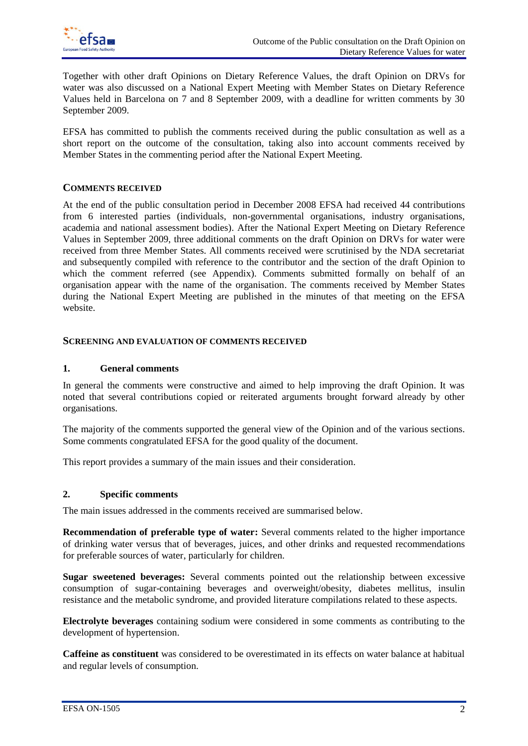

Together with other draft Opinions on Dietary Reference Values, the draft Opinion on DRVs for water was also discussed on a National Expert Meeting with Member States on Dietary Reference Values held in Barcelona on 7 and 8 September 2009, with a deadline for written comments by 30 September 2009.

EFSA has committed to publish the comments received during the public consultation as well as a short report on the outcome of the consultation, taking also into account comments received by Member States in the commenting period after the National Expert Meeting.

# **COMMENTS RECEIVED**

At the end of the public consultation period in December 2008 EFSA had received 44 contributions from 6 interested parties (individuals, non-governmental organisations, industry organisations, academia and national assessment bodies). After the National Expert Meeting on Dietary Reference Values in September 2009, three additional comments on the draft Opinion on DRVs for water were received from three Member States. All comments received were scrutinised by the NDA secretariat and subsequently compiled with reference to the contributor and the section of the draft Opinion to which the comment referred (see Appendix). Comments submitted formally on behalf of an organisation appear with the name of the organisation. The comments received by Member States during the National Expert Meeting are published in the minutes of that meeting on the EFSA website.

#### **SCREENING AND EVALUATION OF COMMENTS RECEIVED**

#### **1. General comments**

In general the comments were constructive and aimed to help improving the draft Opinion. It was noted that several contributions copied or reiterated arguments brought forward already by other organisations.

The majority of the comments supported the general view of the Opinion and of the various sections. Some comments congratulated EFSA for the good quality of the document.

This report provides a summary of the main issues and their consideration.

#### **2. Specific comments**

The main issues addressed in the comments received are summarised below.

**Recommendation of preferable type of water:** Several comments related to the higher importance of drinking water versus that of beverages, juices, and other drinks and requested recommendations for preferable sources of water, particularly for children.

**Sugar sweetened beverages:** Several comments pointed out the relationship between excessive consumption of sugar-containing beverages and overweight/obesity, diabetes mellitus, insulin resistance and the metabolic syndrome, and provided literature compilations related to these aspects.

**Electrolyte beverages** containing sodium were considered in some comments as contributing to the development of hypertension.

**Caffeine as constituent** was considered to be overestimated in its effects on water balance at habitual and regular levels of consumption.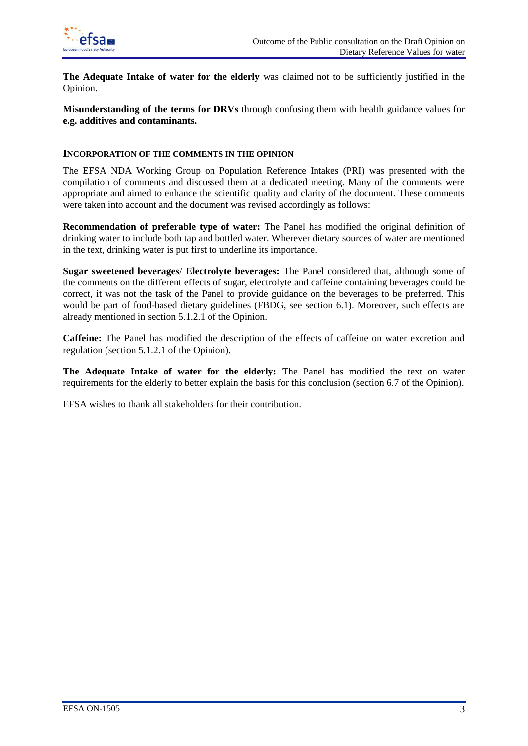

**The Adequate Intake of water for the elderly** was claimed not to be sufficiently justified in the Opinion.

**Misunderstanding of the terms for DRVs** through confusing them with health guidance values for **e.g. additives and contaminants.**

#### **INCORPORATION OF THE COMMENTS IN THE OPINION**

The EFSA NDA Working Group on Population Reference Intakes (PRI) was presented with the compilation of comments and discussed them at a dedicated meeting. Many of the comments were appropriate and aimed to enhance the scientific quality and clarity of the document. These comments were taken into account and the document was revised accordingly as follows:

**Recommendation of preferable type of water:** The Panel has modified the original definition of drinking water to include both tap and bottled water. Wherever dietary sources of water are mentioned in the text, drinking water is put first to underline its importance.

**Sugar sweetened beverages**/ **Electrolyte beverages:** The Panel considered that, although some of the comments on the different effects of sugar, electrolyte and caffeine containing beverages could be correct, it was not the task of the Panel to provide guidance on the beverages to be preferred. This would be part of food-based dietary guidelines (FBDG, see section 6.1). Moreover, such effects are already mentioned in section 5.1.2.1 of the Opinion.

**Caffeine:** The Panel has modified the description of the effects of caffeine on water excretion and regulation (section 5.1.2.1 of the Opinion).

**The Adequate Intake of water for the elderly:** The Panel has modified the text on water requirements for the elderly to better explain the basis for this conclusion (section 6.7 of the Opinion).

EFSA wishes to thank all stakeholders for their contribution.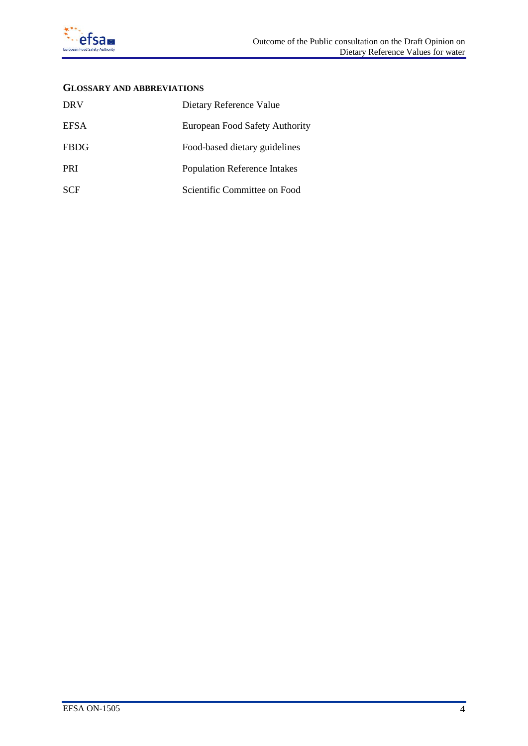

# **GLOSSARY AND ABBREVIATIONS**

| <b>DRV</b>  | Dietary Reference Value             |
|-------------|-------------------------------------|
| EFSA        | European Food Safety Authority      |
| <b>FBDG</b> | Food-based dietary guidelines       |
| <b>PRI</b>  | <b>Population Reference Intakes</b> |
| <b>SCF</b>  | Scientific Committee on Food        |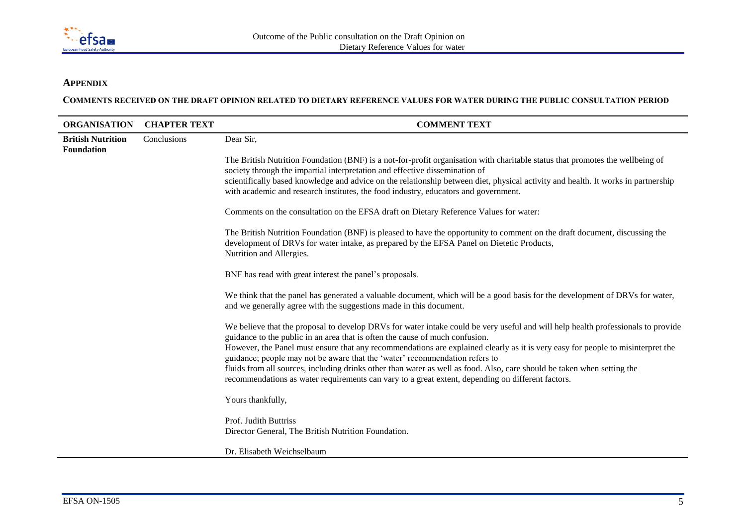

# **APPENDIX**

**COMMENTS RECEIVED ON THE DRAFT OPINION RELATED TO DIETARY REFERENCE VALUES FOR WATER DURING THE PUBLIC CONSULTATION PERIOD**

| <b>ORGANISATION</b>                           | <b>CHAPTER TEXT</b> | <b>COMMENT TEXT</b>                                                                                                                                                                                                                                                                                                                                                                                                                      |
|-----------------------------------------------|---------------------|------------------------------------------------------------------------------------------------------------------------------------------------------------------------------------------------------------------------------------------------------------------------------------------------------------------------------------------------------------------------------------------------------------------------------------------|
| <b>British Nutrition</b><br><b>Foundation</b> | Conclusions         | Dear Sir,                                                                                                                                                                                                                                                                                                                                                                                                                                |
|                                               |                     | The British Nutrition Foundation (BNF) is a not-for-profit organisation with charitable status that promotes the wellbeing of<br>society through the impartial interpretation and effective dissemination of<br>scientifically based knowledge and advice on the relationship between diet, physical activity and health. It works in partnership<br>with academic and research institutes, the food industry, educators and government. |
|                                               |                     | Comments on the consultation on the EFSA draft on Dietary Reference Values for water:                                                                                                                                                                                                                                                                                                                                                    |
|                                               |                     | The British Nutrition Foundation (BNF) is pleased to have the opportunity to comment on the draft document, discussing the<br>development of DRVs for water intake, as prepared by the EFSA Panel on Dietetic Products,<br>Nutrition and Allergies.                                                                                                                                                                                      |
|                                               |                     | BNF has read with great interest the panel's proposals.                                                                                                                                                                                                                                                                                                                                                                                  |
|                                               |                     | We think that the panel has generated a valuable document, which will be a good basis for the development of DRVs for water,<br>and we generally agree with the suggestions made in this document.                                                                                                                                                                                                                                       |
|                                               |                     | We believe that the proposal to develop DRVs for water intake could be very useful and will help health professionals to provide<br>guidance to the public in an area that is often the cause of much confusion.                                                                                                                                                                                                                         |
|                                               |                     | However, the Panel must ensure that any recommendations are explained clearly as it is very easy for people to misinterpret the<br>guidance; people may not be aware that the 'water' recommendation refers to                                                                                                                                                                                                                           |
|                                               |                     | fluids from all sources, including drinks other than water as well as food. Also, care should be taken when setting the<br>recommendations as water requirements can vary to a great extent, depending on different factors.                                                                                                                                                                                                             |
|                                               |                     | Yours thankfully,                                                                                                                                                                                                                                                                                                                                                                                                                        |
|                                               |                     | Prof. Judith Buttriss<br>Director General, The British Nutrition Foundation.                                                                                                                                                                                                                                                                                                                                                             |
|                                               |                     | Dr. Elisabeth Weichselbaum                                                                                                                                                                                                                                                                                                                                                                                                               |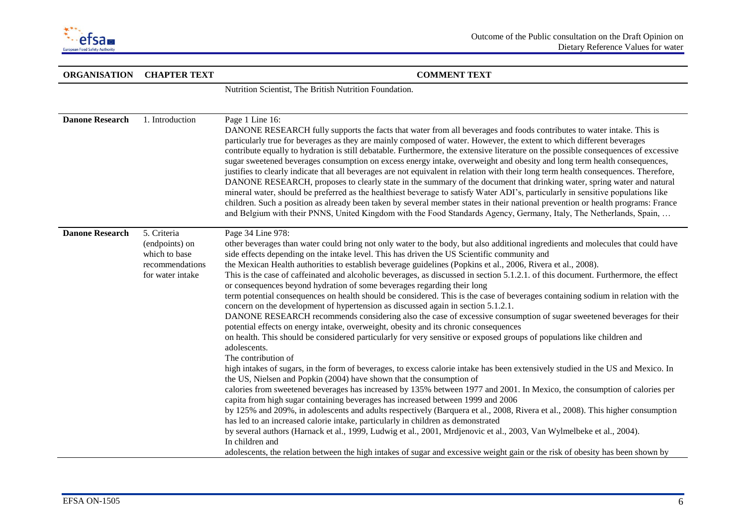

| <b>ORGANISATION</b>    | <b>CHAPTER TEXT</b>                                                                   | <b>COMMENT TEXT</b>                                                                                                                                                                                                                                                                                                                                                                                                                                                                                                                                                                                                                                                                                                                                                                                                                                                                                                                                                                                                                                                                                                                                                                                                                                                                                                                                                                                                                                                                                                                                                                                                                                                                                                                                                                                                                                                                                                                                                                                                                                                                                                               |
|------------------------|---------------------------------------------------------------------------------------|-----------------------------------------------------------------------------------------------------------------------------------------------------------------------------------------------------------------------------------------------------------------------------------------------------------------------------------------------------------------------------------------------------------------------------------------------------------------------------------------------------------------------------------------------------------------------------------------------------------------------------------------------------------------------------------------------------------------------------------------------------------------------------------------------------------------------------------------------------------------------------------------------------------------------------------------------------------------------------------------------------------------------------------------------------------------------------------------------------------------------------------------------------------------------------------------------------------------------------------------------------------------------------------------------------------------------------------------------------------------------------------------------------------------------------------------------------------------------------------------------------------------------------------------------------------------------------------------------------------------------------------------------------------------------------------------------------------------------------------------------------------------------------------------------------------------------------------------------------------------------------------------------------------------------------------------------------------------------------------------------------------------------------------------------------------------------------------------------------------------------------------|
|                        |                                                                                       | Nutrition Scientist, The British Nutrition Foundation.                                                                                                                                                                                                                                                                                                                                                                                                                                                                                                                                                                                                                                                                                                                                                                                                                                                                                                                                                                                                                                                                                                                                                                                                                                                                                                                                                                                                                                                                                                                                                                                                                                                                                                                                                                                                                                                                                                                                                                                                                                                                            |
|                        |                                                                                       |                                                                                                                                                                                                                                                                                                                                                                                                                                                                                                                                                                                                                                                                                                                                                                                                                                                                                                                                                                                                                                                                                                                                                                                                                                                                                                                                                                                                                                                                                                                                                                                                                                                                                                                                                                                                                                                                                                                                                                                                                                                                                                                                   |
| <b>Danone Research</b> | 1. Introduction                                                                       | Page 1 Line 16:<br>DANONE RESEARCH fully supports the facts that water from all beverages and foods contributes to water intake. This is<br>particularly true for beverages as they are mainly composed of water. However, the extent to which different beverages<br>contribute equally to hydration is still debatable. Furthermore, the extensive literature on the possible consequences of excessive<br>sugar sweetened beverages consumption on excess energy intake, overweight and obesity and long term health consequences,<br>justifies to clearly indicate that all beverages are not equivalent in relation with their long term health consequences. Therefore,<br>DANONE RESEARCH, proposes to clearly state in the summary of the document that drinking water, spring water and natural<br>mineral water, should be preferred as the healthiest beverage to satisfy Water ADI's, particularly in sensitive populations like<br>children. Such a position as already been taken by several member states in their national prevention or health programs: France<br>and Belgium with their PNNS, United Kingdom with the Food Standards Agency, Germany, Italy, The Netherlands, Spain,                                                                                                                                                                                                                                                                                                                                                                                                                                                                                                                                                                                                                                                                                                                                                                                                                                                                                                                           |
| <b>Danone Research</b> | 5. Criteria<br>(endpoints) on<br>which to base<br>recommendations<br>for water intake | Page 34 Line 978:<br>other beverages than water could bring not only water to the body, but also additional ingredients and molecules that could have<br>side effects depending on the intake level. This has driven the US Scientific community and<br>the Mexican Health authorities to establish beverage guidelines (Popkins et al., 2006, Rivera et al., 2008).<br>This is the case of caffeinated and alcoholic beverages, as discussed in section 5.1.2.1. of this document. Furthermore, the effect<br>or consequences beyond hydration of some beverages regarding their long<br>term potential consequences on health should be considered. This is the case of beverages containing sodium in relation with the<br>concern on the development of hypertension as discussed again in section 5.1.2.1.<br>DANONE RESEARCH recommends considering also the case of excessive consumption of sugar sweetened beverages for their<br>potential effects on energy intake, overweight, obesity and its chronic consequences<br>on health. This should be considered particularly for very sensitive or exposed groups of populations like children and<br>adolescents.<br>The contribution of<br>high intakes of sugars, in the form of beverages, to excess calorie intake has been extensively studied in the US and Mexico. In<br>the US, Nielsen and Popkin (2004) have shown that the consumption of<br>calories from sweetened beverages has increased by 135% between 1977 and 2001. In Mexico, the consumption of calories per<br>capita from high sugar containing beverages has increased between 1999 and 2006<br>by 125% and 209%, in adolescents and adults respectively (Barquera et al., 2008, Rivera et al., 2008). This higher consumption<br>has led to an increased calorie intake, particularly in children as demonstrated<br>by several authors (Harnack et al., 1999, Ludwig et al., 2001, Mrdjenovic et al., 2003, Van Wylmelbeke et al., 2004).<br>In children and<br>adolescents, the relation between the high intakes of sugar and excessive weight gain or the risk of obesity has been shown by |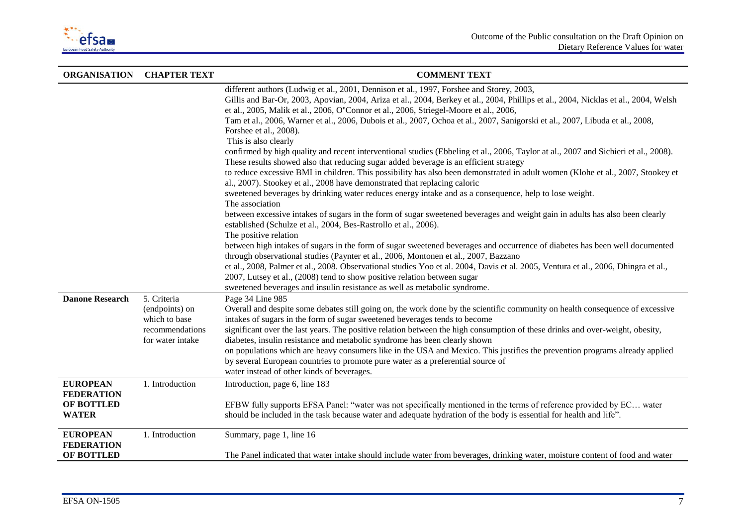

| <b>ORGANISATION</b>                  | <b>CHAPTER TEXT</b>                 | <b>COMMENT TEXT</b>                                                                                                                                                                                                                                                                                                      |
|--------------------------------------|-------------------------------------|--------------------------------------------------------------------------------------------------------------------------------------------------------------------------------------------------------------------------------------------------------------------------------------------------------------------------|
|                                      |                                     | different authors (Ludwig et al., 2001, Dennison et al., 1997, Forshee and Storey, 2003,<br>Gillis and Bar-Or, 2003, Apovian, 2004, Ariza et al., 2004, Berkey et al., 2004, Phillips et al., 2004, Nicklas et al., 2004, Welsh<br>et al., 2005, Malik et al., 2006, O'Connor et al., 2006, Striegel-Moore et al., 2006, |
|                                      |                                     | Tam et al., 2006, Warner et al., 2006, Dubois et al., 2007, Ochoa et al., 2007, Sanigorski et al., 2007, Libuda et al., 2008,<br>Forshee et al., 2008).<br>This is also clearly                                                                                                                                          |
|                                      |                                     | confirmed by high quality and recent interventional studies (Ebbeling et al., 2006, Taylor at al., 2007 and Sichieri et al., 2008).<br>These results showed also that reducing sugar added beverage is an efficient strategy                                                                                             |
|                                      |                                     | to reduce excessive BMI in children. This possibility has also been demonstrated in adult women (Klohe et al., 2007, Stookey et<br>al., 2007). Stookey et al., 2008 have demonstrated that replacing caloric                                                                                                             |
|                                      |                                     | sweetened beverages by drinking water reduces energy intake and as a consequence, help to lose weight.<br>The association                                                                                                                                                                                                |
|                                      |                                     | between excessive intakes of sugars in the form of sugar sweetened beverages and weight gain in adults has also been clearly<br>established (Schulze et al., 2004, Bes-Rastrollo et al., 2006).<br>The positive relation                                                                                                 |
|                                      |                                     | between high intakes of sugars in the form of sugar sweetened beverages and occurrence of diabetes has been well documented<br>through observational studies (Paynter et al., 2006, Montonen et al., 2007, Bazzano                                                                                                       |
|                                      |                                     | et al., 2008, Palmer et al., 2008. Observational studies Yoo et al. 2004, Davis et al. 2005, Ventura et al., 2006, Dhingra et al.,<br>2007, Lutsey et al., (2008) tend to show positive relation between sugar<br>sweetened beverages and insulin resistance as well as metabolic syndrome.                              |
| <b>Danone Research</b>               | 5. Criteria                         | Page 34 Line 985                                                                                                                                                                                                                                                                                                         |
|                                      | (endpoints) on<br>which to base     | Overall and despite some debates still going on, the work done by the scientific community on health consequence of excessive<br>intakes of sugars in the form of sugar sweetened beverages tends to become                                                                                                              |
|                                      | recommendations<br>for water intake | significant over the last years. The positive relation between the high consumption of these drinks and over-weight, obesity,<br>diabetes, insulin resistance and metabolic syndrome has been clearly shown                                                                                                              |
|                                      |                                     | on populations which are heavy consumers like in the USA and Mexico. This justifies the prevention programs already applied<br>by several European countries to promote pure water as a preferential source of                                                                                                           |
|                                      |                                     | water instead of other kinds of beverages.                                                                                                                                                                                                                                                                               |
| <b>EUROPEAN</b><br><b>FEDERATION</b> | 1. Introduction                     | Introduction, page 6, line 183                                                                                                                                                                                                                                                                                           |
| OF BOTTLED                           |                                     | EFBW fully supports EFSA Panel: "water was not specifically mentioned in the terms of reference provided by EC water                                                                                                                                                                                                     |
| <b>WATER</b>                         |                                     | should be included in the task because water and adequate hydration of the body is essential for health and life".                                                                                                                                                                                                       |
| <b>EUROPEAN</b><br><b>FEDERATION</b> | 1. Introduction                     | Summary, page 1, line 16                                                                                                                                                                                                                                                                                                 |
| OF BOTTLED                           |                                     | The Panel indicated that water intake should include water from beverages, drinking water, moisture content of food and water                                                                                                                                                                                            |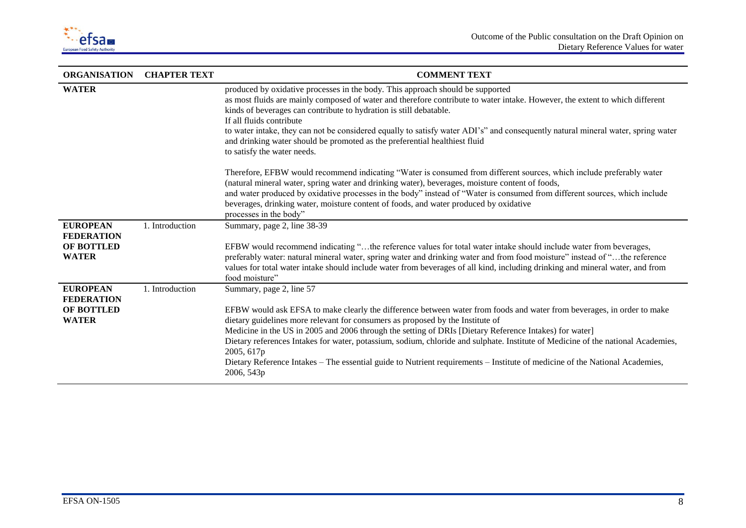

| <b>ORGANISATION</b>                                                       | <b>CHAPTER TEXT</b> | <b>COMMENT TEXT</b>                                                                                                                                                                                                                                                                                                                                                                                                                                                                                                                                                                                                                           |
|---------------------------------------------------------------------------|---------------------|-----------------------------------------------------------------------------------------------------------------------------------------------------------------------------------------------------------------------------------------------------------------------------------------------------------------------------------------------------------------------------------------------------------------------------------------------------------------------------------------------------------------------------------------------------------------------------------------------------------------------------------------------|
| <b>WATER</b>                                                              |                     | produced by oxidative processes in the body. This approach should be supported<br>as most fluids are mainly composed of water and therefore contribute to water intake. However, the extent to which different<br>kinds of beverages can contribute to hydration is still debatable.<br>If all fluids contribute<br>to water intake, they can not be considered equally to satisfy water ADI's" and consequently natural mineral water, spring water<br>and drinking water should be promoted as the preferential healthiest fluid<br>to satisfy the water needs.                                                                             |
|                                                                           |                     | Therefore, EFBW would recommend indicating "Water is consumed from different sources, which include preferably water<br>(natural mineral water, spring water and drinking water), beverages, moisture content of foods,<br>and water produced by oxidative processes in the body" instead of "Water is consumed from different sources, which include<br>beverages, drinking water, moisture content of foods, and water produced by oxidative<br>processes in the body"                                                                                                                                                                      |
| <b>EUROPEAN</b><br><b>FEDERATION</b><br>OF BOTTLED<br><b>WATER</b>        | 1. Introduction     | Summary, page 2, line 38-39<br>EFBW would recommend indicating "the reference values for total water intake should include water from beverages,<br>preferably water: natural mineral water, spring water and drinking water and from food moisture" instead of "the reference<br>values for total water intake should include water from beverages of all kind, including drinking and mineral water, and from<br>food moisture"                                                                                                                                                                                                             |
| <b>EUROPEAN</b><br><b>FEDERATION</b><br><b>OF BOTTLED</b><br><b>WATER</b> | 1. Introduction     | Summary, page 2, line 57<br>EFBW would ask EFSA to make clearly the difference between water from foods and water from beverages, in order to make<br>dietary guidelines more relevant for consumers as proposed by the Institute of<br>Medicine in the US in 2005 and 2006 through the setting of DRIs [Dietary Reference Intakes) for water]<br>Dietary references Intakes for water, potassium, sodium, chloride and sulphate. Institute of Medicine of the national Academies,<br>2005, 617p<br>Dietary Reference Intakes - The essential guide to Nutrient requirements - Institute of medicine of the National Academies,<br>2006, 543p |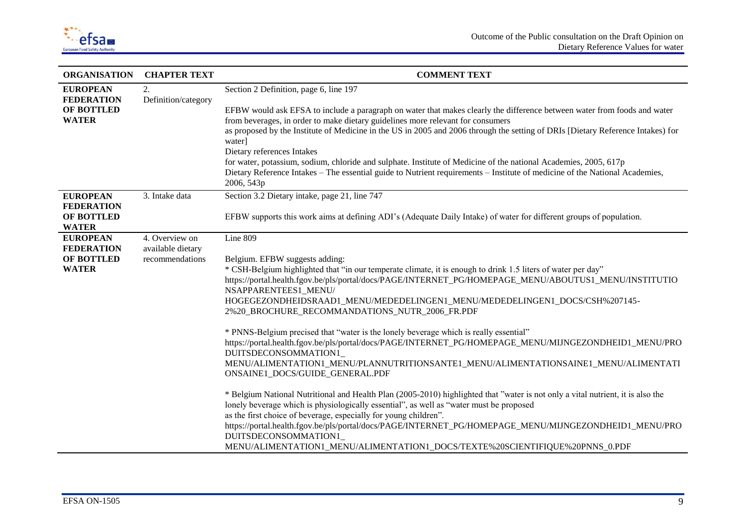

| <b>ORGANISATION</b>                  | <b>CHAPTER TEXT</b>                 | <b>COMMENT TEXT</b>                                                                                                                                                                                                                                                                                                                            |
|--------------------------------------|-------------------------------------|------------------------------------------------------------------------------------------------------------------------------------------------------------------------------------------------------------------------------------------------------------------------------------------------------------------------------------------------|
| <b>EUROPEAN</b><br><b>FEDERATION</b> | 2.<br>Definition/category           | Section 2 Definition, page 6, line 197                                                                                                                                                                                                                                                                                                         |
| OF BOTTLED<br><b>WATER</b>           |                                     | EFBW would ask EFSA to include a paragraph on water that makes clearly the difference between water from foods and water<br>from beverages, in order to make dietary guidelines more relevant for consumers<br>as proposed by the Institute of Medicine in the US in 2005 and 2006 through the setting of DRIs [Dietary Reference Intakes] for |
|                                      |                                     | water]<br>Dietary references Intakes                                                                                                                                                                                                                                                                                                           |
|                                      |                                     | for water, potassium, sodium, chloride and sulphate. Institute of Medicine of the national Academies, 2005, 617p<br>Dietary Reference Intakes – The essential guide to Nutrient requirements – Institute of medicine of the National Academies,<br>2006, 543p                                                                                  |
| <b>EUROPEAN</b><br><b>FEDERATION</b> | 3. Intake data                      | Section 3.2 Dietary intake, page 21, line 747                                                                                                                                                                                                                                                                                                  |
| OF BOTTLED<br><b>WATER</b>           |                                     | EFBW supports this work aims at defining ADI's (Adequate Daily Intake) of water for different groups of population.                                                                                                                                                                                                                            |
| <b>EUROPEAN</b><br><b>FEDERATION</b> | 4. Overview on<br>available dietary | Line 809                                                                                                                                                                                                                                                                                                                                       |
| <b>OF BOTTLED</b>                    | recommendations                     | Belgium. EFBW suggests adding:                                                                                                                                                                                                                                                                                                                 |
| <b>WATER</b>                         |                                     | * CSH-Belgium highlighted that "in our temperate climate, it is enough to drink 1.5 liters of water per day"<br>https://portal.health.fgov.be/pls/portal/docs/PAGE/INTERNET_PG/HOMEPAGE_MENU/ABOUTUS1_MENU/INSTITUTIO<br>NSAPPARENTEES1_MENU/                                                                                                  |
|                                      |                                     | HOGEGEZONDHEIDSRAAD1_MENU/MEDEDELINGEN1_MENU/MEDEDELINGEN1_DOCS/CSH%207145-<br>2%20_BROCHURE_RECOMMANDATIONS_NUTR_2006_FR.PDF                                                                                                                                                                                                                  |
|                                      |                                     | * PNNS-Belgium precised that "water is the lonely beverage which is really essential"<br>https://portal.health.fgov.be/pls/portal/docs/PAGE/INTERNET_PG/HOMEPAGE_MENU/MIJNGEZONDHEID1_MENU/PRO<br>DUITSDECONSOMMATION1                                                                                                                         |
|                                      |                                     | MENU/ALIMENTATION1_MENU/PLANNUTRITIONSANTE1_MENU/ALIMENTATIONSAINE1_MENU/ALIMENTATI<br>ONSAINE1_DOCS/GUIDE_GENERAL.PDF                                                                                                                                                                                                                         |
|                                      |                                     | * Belgium National Nutritional and Health Plan (2005-2010) highlighted that "water is not only a vital nutrient, it is also the<br>lonely beverage which is physiologically essential", as well as "water must be proposed                                                                                                                     |
|                                      |                                     | as the first choice of beverage, especially for young children".<br>https://portal.health.fgov.be/pls/portal/docs/PAGE/INTERNET_PG/HOMEPAGE_MENU/MIJNGEZONDHEID1_MENU/PRO<br>DUITSDECONSOMMATION1<br>MENU/ALIMENTATION1_MENU/ALIMENTATION1_DOCS/TEXTE%20SCIENTIFIQUE%20PNNS_0.PDF                                                              |
|                                      |                                     |                                                                                                                                                                                                                                                                                                                                                |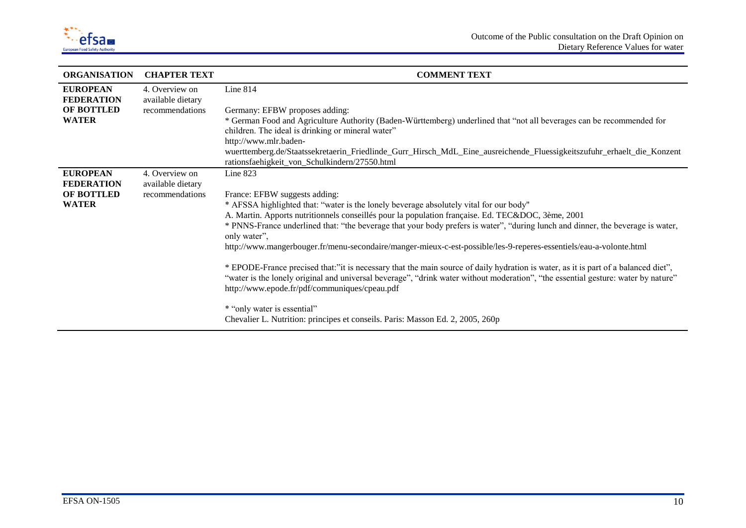

| <b>ORGANISATION</b>                  | <b>CHAPTER TEXT</b>                 | <b>COMMENT TEXT</b>                                                                                                                                                                |
|--------------------------------------|-------------------------------------|------------------------------------------------------------------------------------------------------------------------------------------------------------------------------------|
| <b>EUROPEAN</b><br><b>FEDERATION</b> | 4. Overview on<br>available dietary | Line $814$                                                                                                                                                                         |
| OF BOTTLED                           | recommendations                     | Germany: EFBW proposes adding:                                                                                                                                                     |
| <b>WATER</b>                         |                                     | * German Food and Agriculture Authority (Baden-Württemberg) underlined that "not all beverages can be recommended for                                                              |
|                                      |                                     | children. The ideal is drinking or mineral water"                                                                                                                                  |
|                                      |                                     | http://www.mlr.baden-                                                                                                                                                              |
|                                      |                                     | wuerttemberg.de/Staatssekretaerin_Friedlinde_Gurr_Hirsch_MdL_Eine_ausreichende_Fluessigkeitszufuhr_erhaelt_die_Konzent                                                             |
|                                      |                                     | rationsfaehigkeit_von_Schulkindern/27550.html                                                                                                                                      |
| <b>EUROPEAN</b>                      | 4. Overview on                      | Line $823$                                                                                                                                                                         |
| <b>FEDERATION</b>                    | available dietary                   |                                                                                                                                                                                    |
| OF BOTTLED                           | recommendations                     | France: EFBW suggests adding:                                                                                                                                                      |
| <b>WATER</b>                         |                                     | * AFSSA highlighted that: "water is the lonely beverage absolutely vital for our body"                                                                                             |
|                                      |                                     | A. Martin. Apports nutritionnels conseillés pour la population française. Ed. TEC&DOC, 3ème, 2001                                                                                  |
|                                      |                                     | * PNNS-France underlined that: "the beverage that your body prefers is water", "during lunch and dinner, the beverage is water,<br>only water",                                    |
|                                      |                                     | http://www.mangerbouger.fr/menu-secondaire/manger-mieux-c-est-possible/les-9-reperes-essentiels/eau-a-volonte.html                                                                 |
|                                      |                                     | * EPODE-France precised that:"it is necessary that the main source of daily hydration is water, as it is part of a balanced diet",                                                 |
|                                      |                                     | "water is the lonely original and universal beverage", "drink water without moderation", "the essential gesture: water by nature"<br>http://www.epode.fr/pdf/communiques/cpeau.pdf |
|                                      |                                     | * "only water is essential"                                                                                                                                                        |
|                                      |                                     | Chevalier L. Nutrition: principes et conseils. Paris: Masson Ed. 2, 2005, 260p                                                                                                     |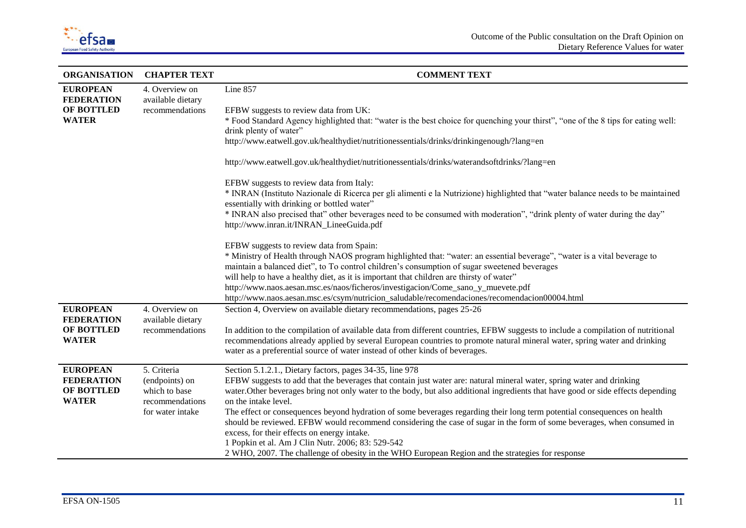

| <b>ORGANISATION</b>                  | <b>CHAPTER TEXT</b>                 | <b>COMMENT TEXT</b>                                                                                                                                                                                                                                           |
|--------------------------------------|-------------------------------------|---------------------------------------------------------------------------------------------------------------------------------------------------------------------------------------------------------------------------------------------------------------|
| <b>EUROPEAN</b><br><b>FEDERATION</b> | 4. Overview on<br>available dietary | Line 857                                                                                                                                                                                                                                                      |
| OF BOTTLED                           | recommendations                     | EFBW suggests to review data from UK:                                                                                                                                                                                                                         |
| <b>WATER</b>                         |                                     | * Food Standard Agency highlighted that: "water is the best choice for quenching your thirst", "one of the 8 tips for eating well:<br>drink plenty of water"                                                                                                  |
|                                      |                                     | http://www.eatwell.gov.uk/healthydiet/nutritionessentials/drinks/drinkingenough/?lang=en                                                                                                                                                                      |
|                                      |                                     | http://www.eatwell.gov.uk/healthydiet/nutritionessentials/drinks/waterandsoftdrinks/?lang=en                                                                                                                                                                  |
|                                      |                                     | EFBW suggests to review data from Italy:                                                                                                                                                                                                                      |
|                                      |                                     | * INRAN (Instituto Nazionale di Ricerca per gli alimenti e la Nutrizione) highlighted that "water balance needs to be maintained<br>essentially with drinking or bottled water"                                                                               |
|                                      |                                     | * INRAN also precised that" other beverages need to be consumed with moderation", "drink plenty of water during the day"<br>http://www.inran.it/INRAN_LineeGuida.pdf                                                                                          |
|                                      |                                     | EFBW suggests to review data from Spain:                                                                                                                                                                                                                      |
|                                      |                                     | * Ministry of Health through NAOS program highlighted that: "water: an essential beverage", "water is a vital beverage to                                                                                                                                     |
|                                      |                                     | maintain a balanced diet", to To control children's consumption of sugar sweetened beverages                                                                                                                                                                  |
|                                      |                                     | will help to have a healthy diet, as it is important that children are thirsty of water"                                                                                                                                                                      |
|                                      |                                     | http://www.naos.aesan.msc.es/naos/ficheros/investigacion/Come_sano_y_muevete.pdf                                                                                                                                                                              |
|                                      |                                     | http://www.naos.aesan.msc.es/csym/nutricion_saludable/recomendaciones/recomendacion00004.html                                                                                                                                                                 |
| <b>EUROPEAN</b>                      | 4. Overview on                      | Section 4, Overview on available dietary recommendations, pages 25-26                                                                                                                                                                                         |
| <b>FEDERATION</b><br>OF BOTTLED      | available dietary                   |                                                                                                                                                                                                                                                               |
| <b>WATER</b>                         | recommendations                     | In addition to the compilation of available data from different countries, EFBW suggests to include a compilation of nutritional<br>recommendations already applied by several European countries to promote natural mineral water, spring water and drinking |
|                                      |                                     | water as a preferential source of water instead of other kinds of beverages.                                                                                                                                                                                  |
|                                      |                                     |                                                                                                                                                                                                                                                               |
| <b>EUROPEAN</b>                      | 5. Criteria                         | Section 5.1.2.1., Dietary factors, pages 34-35, line 978                                                                                                                                                                                                      |
| <b>FEDERATION</b>                    | (endpoints) on                      | EFBW suggests to add that the beverages that contain just water are: natural mineral water, spring water and drinking                                                                                                                                         |
| OF BOTTLED                           | which to base                       | water. Other beverages bring not only water to the body, but also additional ingredients that have good or side effects depending                                                                                                                             |
| <b>WATER</b>                         | recommendations                     | on the intake level.                                                                                                                                                                                                                                          |
|                                      | for water intake                    | The effect or consequences beyond hydration of some beverages regarding their long term potential consequences on health                                                                                                                                      |
|                                      |                                     | should be reviewed. EFBW would recommend considering the case of sugar in the form of some beverages, when consumed in                                                                                                                                        |
|                                      |                                     | excess, for their effects on energy intake.<br>1 Popkin et al. Am J Clin Nutr. 2006; 83: 529-542                                                                                                                                                              |
|                                      |                                     | 2 WHO, 2007. The challenge of obesity in the WHO European Region and the strategies for response                                                                                                                                                              |
|                                      |                                     |                                                                                                                                                                                                                                                               |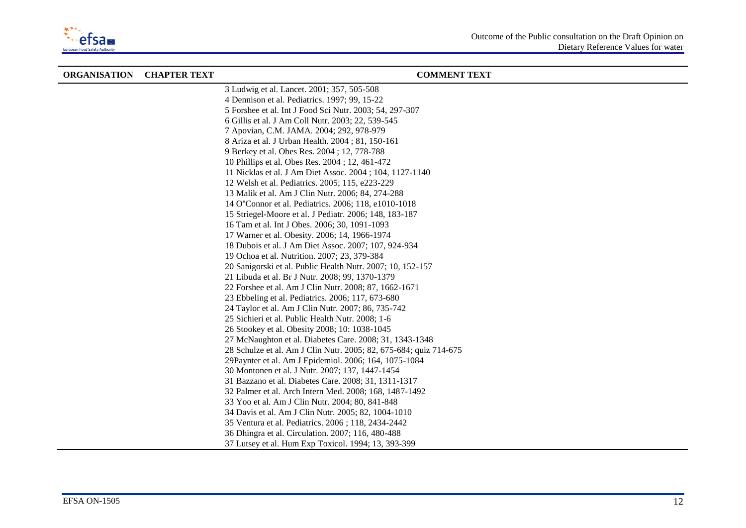

| <b>ORGANISATION CHAPTER TEXT</b> | <b>COMMENT TEXT</b>                                               |
|----------------------------------|-------------------------------------------------------------------|
|                                  | 3 Ludwig et al. Lancet. 2001; 357, 505-508                        |
|                                  | 4 Dennison et al. Pediatrics. 1997; 99, 15-22                     |
|                                  | 5 Forshee et al. Int J Food Sci Nutr. 2003; 54, 297-307           |
|                                  | 6 Gillis et al. J Am Coll Nutr. 2003; 22, 539-545                 |
|                                  | 7 Apovian, C.M. JAMA. 2004; 292, 978-979                          |
|                                  | 8 Ariza et al. J Urban Health. 2004; 81, 150-161                  |
|                                  | 9 Berkey et al. Obes Res. 2004; 12, 778-788                       |
|                                  | 10 Phillips et al. Obes Res. 2004; 12, 461-472                    |
|                                  | 11 Nicklas et al. J Am Diet Assoc. 2004; 104, 1127-1140           |
|                                  | 12 Welsh et al. Pediatrics. 2005; 115, e223-229                   |
|                                  | 13 Malik et al. Am J Clin Nutr. 2006; 84, 274-288                 |
|                                  | 14 O"Connor et al. Pediatrics. 2006; 118, e1010-1018              |
|                                  | 15 Striegel-Moore et al. J Pediatr. 2006; 148, 183-187            |
|                                  | 16 Tam et al. Int J Obes. 2006; 30, 1091-1093                     |
|                                  | 17 Warner et al. Obesity. 2006; 14, 1966-1974                     |
|                                  | 18 Dubois et al. J Am Diet Assoc. 2007; 107, 924-934              |
|                                  | 19 Ochoa et al. Nutrition. 2007; 23, 379-384                      |
|                                  | 20 Sanigorski et al. Public Health Nutr. 2007; 10, 152-157        |
|                                  | 21 Libuda et al. Br J Nutr. 2008; 99, 1370-1379                   |
|                                  | 22 Forshee et al. Am J Clin Nutr. 2008; 87, 1662-1671             |
|                                  | 23 Ebbeling et al. Pediatrics. 2006; 117, 673-680                 |
|                                  | 24 Taylor et al. Am J Clin Nutr. 2007; 86, 735-742                |
|                                  | 25 Sichieri et al. Public Health Nutr. 2008; 1-6                  |
|                                  | 26 Stookey et al. Obesity 2008; 10: 1038-1045                     |
|                                  | 27 McNaughton et al. Diabetes Care. 2008; 31, 1343-1348           |
|                                  | 28 Schulze et al. Am J Clin Nutr. 2005; 82, 675-684; quiz 714-675 |
|                                  | 29Paynter et al. Am J Epidemiol. 2006; 164, 1075-1084             |
|                                  | 30 Montonen et al. J Nutr. 2007; 137, 1447-1454                   |
|                                  | 31 Bazzano et al. Diabetes Care. 2008; 31, 1311-1317              |
|                                  | 32 Palmer et al. Arch Intern Med. 2008; 168, 1487-1492            |
|                                  | 33 Yoo et al. Am J Clin Nutr. 2004; 80, 841-848                   |
|                                  | 34 Davis et al. Am J Clin Nutr. 2005; 82, 1004-1010               |
|                                  | 35 Ventura et al. Pediatrics. 2006; 118, 2434-2442                |
|                                  | 36 Dhingra et al. Circulation. 2007; 116, 480-488                 |
|                                  | 37 Lutsey et al. Hum Exp Toxicol. 1994; 13, 393-399               |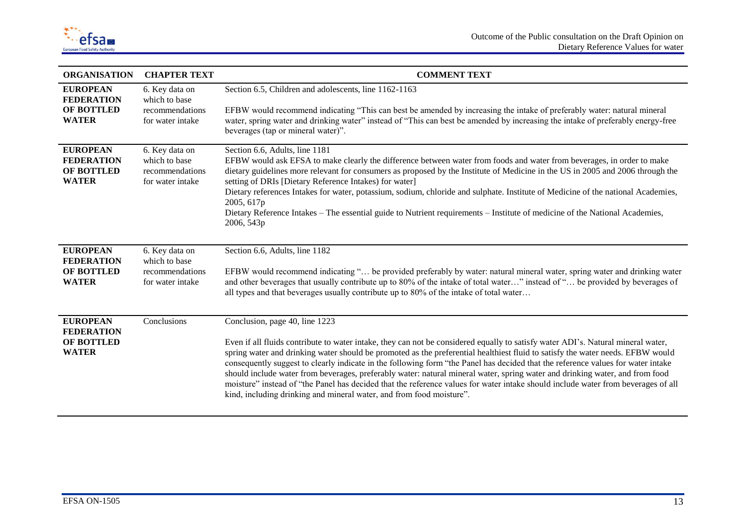

| <b>ORGANISATION</b>                                                       | <b>CHAPTER TEXT</b>                                                    | <b>COMMENT TEXT</b>                                                                                                                                                                                                                                                                                                                                                                                                                                                                                                                                                                                                                                                                                                                                                                   |
|---------------------------------------------------------------------------|------------------------------------------------------------------------|---------------------------------------------------------------------------------------------------------------------------------------------------------------------------------------------------------------------------------------------------------------------------------------------------------------------------------------------------------------------------------------------------------------------------------------------------------------------------------------------------------------------------------------------------------------------------------------------------------------------------------------------------------------------------------------------------------------------------------------------------------------------------------------|
| <b>EUROPEAN</b><br><b>FEDERATION</b><br><b>OF BOTTLED</b><br><b>WATER</b> | 6. Key data on<br>which to base<br>recommendations<br>for water intake | Section 6.5, Children and adolescents, line 1162-1163<br>EFBW would recommend indicating "This can best be amended by increasing the intake of preferably water: natural mineral<br>water, spring water and drinking water" instead of "This can best be amended by increasing the intake of preferably energy-free<br>beverages (tap or mineral water)".                                                                                                                                                                                                                                                                                                                                                                                                                             |
| <b>EUROPEAN</b><br><b>FEDERATION</b><br><b>OF BOTTLED</b><br><b>WATER</b> | 6. Key data on<br>which to base<br>recommendations<br>for water intake | Section 6.6, Adults, line 1181<br>EFBW would ask EFSA to make clearly the difference between water from foods and water from beverages, in order to make<br>dietary guidelines more relevant for consumers as proposed by the Institute of Medicine in the US in 2005 and 2006 through the<br>setting of DRIs [Dietary Reference Intakes) for water]<br>Dietary references Intakes for water, potassium, sodium, chloride and sulphate. Institute of Medicine of the national Academies,<br>2005, 617p<br>Dietary Reference Intakes - The essential guide to Nutrient requirements - Institute of medicine of the National Academies,<br>2006, 543p                                                                                                                                   |
| <b>EUROPEAN</b><br><b>FEDERATION</b><br><b>OF BOTTLED</b><br><b>WATER</b> | 6. Key data on<br>which to base<br>recommendations<br>for water intake | Section 6.6, Adults, line 1182<br>EFBW would recommend indicating " be provided preferably by water: natural mineral water, spring water and drinking water<br>and other beverages that usually contribute up to 80% of the intake of total water" instead of " be provided by beverages of<br>all types and that beverages usually contribute up to 80% of the intake of total water                                                                                                                                                                                                                                                                                                                                                                                                 |
| <b>EUROPEAN</b><br><b>FEDERATION</b><br><b>OF BOTTLED</b><br><b>WATER</b> | Conclusions                                                            | Conclusion, page 40, line 1223<br>Even if all fluids contribute to water intake, they can not be considered equally to satisfy water ADI's. Natural mineral water,<br>spring water and drinking water should be promoted as the preferential healthiest fluid to satisfy the water needs. EFBW would<br>consequently suggest to clearly indicate in the following form "the Panel has decided that the reference values for water intake<br>should include water from beverages, preferably water: natural mineral water, spring water and drinking water, and from food<br>moisture" instead of "the Panel has decided that the reference values for water intake should include water from beverages of all<br>kind, including drinking and mineral water, and from food moisture". |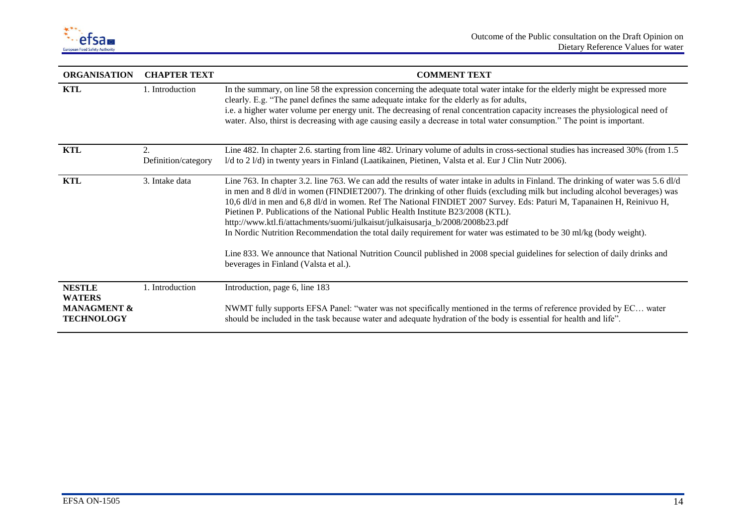

| <b>ORGANISATION</b>                                                           | <b>CHAPTER TEXT</b>       | <b>COMMENT TEXT</b>                                                                                                                                                                                                                                                                                                                                                                                                                                                                                                                                                                                                                                                                                                                                                                                                                                                 |
|-------------------------------------------------------------------------------|---------------------------|---------------------------------------------------------------------------------------------------------------------------------------------------------------------------------------------------------------------------------------------------------------------------------------------------------------------------------------------------------------------------------------------------------------------------------------------------------------------------------------------------------------------------------------------------------------------------------------------------------------------------------------------------------------------------------------------------------------------------------------------------------------------------------------------------------------------------------------------------------------------|
| KTL                                                                           | 1. Introduction           | In the summary, on line 58 the expression concerning the adequate total water intake for the elderly might be expressed more<br>clearly. E.g. "The panel defines the same adequate intake for the elderly as for adults,<br>i.e. a higher water volume per energy unit. The decreasing of renal concentration capacity increases the physiological need of<br>water. Also, thirst is decreasing with age causing easily a decrease in total water consumption." The point is important.                                                                                                                                                                                                                                                                                                                                                                             |
| KTL                                                                           | 2.<br>Definition/category | Line 482. In chapter 2.6. starting from line 482. Urinary volume of adults in cross-sectional studies has increased 30% (from 1.5<br>1/d to 2 1/d) in twenty years in Finland (Laatikainen, Pietinen, Valsta et al. Eur J Clin Nutr 2006).                                                                                                                                                                                                                                                                                                                                                                                                                                                                                                                                                                                                                          |
| <b>KTL</b>                                                                    | 3. Intake data            | Line 763. In chapter 3.2. line 763. We can add the results of water intake in adults in Finland. The drinking of water was 5.6 dl/d<br>in men and 8 dl/d in women (FINDIET2007). The drinking of other fluids (excluding milk but including alcohol beverages) was<br>10,6 dl/d in men and 6,8 dl/d in women. Ref The National FINDIET 2007 Survey. Eds: Paturi M, Tapanainen H, Reinivuo H,<br>Pietinen P. Publications of the National Public Health Institute B23/2008 (KTL).<br>http://www.ktl.fi/attachments/suomi/julkaisut/julkaisusarja_b/2008/2008b23.pdf<br>In Nordic Nutrition Recommendation the total daily requirement for water was estimated to be 30 ml/kg (body weight).<br>Line 833. We announce that National Nutrition Council published in 2008 special guidelines for selection of daily drinks and<br>beverages in Finland (Valsta et al.). |
| <b>NESTLE</b><br><b>WATERS</b><br><b>MANAGMENT &amp;</b><br><b>TECHNOLOGY</b> | 1. Introduction           | Introduction, page 6, line 183<br>NWMT fully supports EFSA Panel: "water was not specifically mentioned in the terms of reference provided by EC water<br>should be included in the task because water and adequate hydration of the body is essential for health and life".                                                                                                                                                                                                                                                                                                                                                                                                                                                                                                                                                                                        |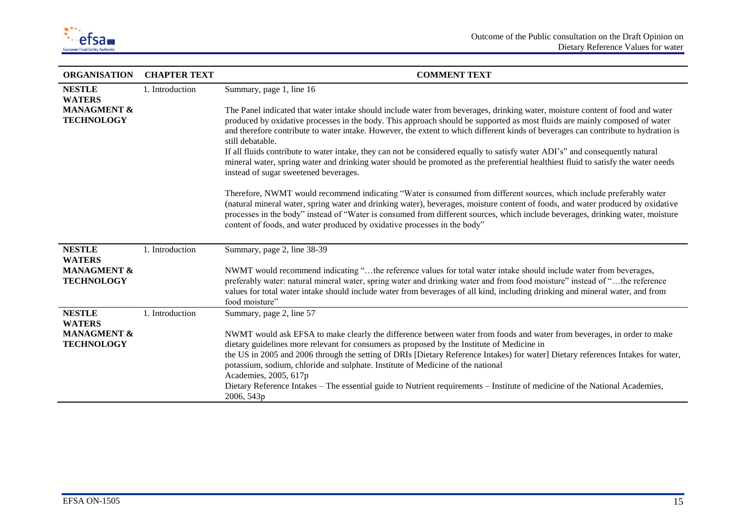

| <b>ORGANISATION</b>                                          | <b>CHAPTER TEXT</b> | <b>COMMENT TEXT</b>                                                                                                                                                                                                                                                                                                                                                                                                                                                                                                                                                                                                                                                                                                                                                                                                                                                                                                                                                                                                                                                                                                                                                                                           |
|--------------------------------------------------------------|---------------------|---------------------------------------------------------------------------------------------------------------------------------------------------------------------------------------------------------------------------------------------------------------------------------------------------------------------------------------------------------------------------------------------------------------------------------------------------------------------------------------------------------------------------------------------------------------------------------------------------------------------------------------------------------------------------------------------------------------------------------------------------------------------------------------------------------------------------------------------------------------------------------------------------------------------------------------------------------------------------------------------------------------------------------------------------------------------------------------------------------------------------------------------------------------------------------------------------------------|
| <b>NESTLE</b><br><b>WATERS</b>                               | 1. Introduction     | Summary, page 1, line 16                                                                                                                                                                                                                                                                                                                                                                                                                                                                                                                                                                                                                                                                                                                                                                                                                                                                                                                                                                                                                                                                                                                                                                                      |
| <b>MANAGMENT &amp;</b><br><b>TECHNOLOGY</b>                  |                     | The Panel indicated that water intake should include water from beverages, drinking water, moisture content of food and water<br>produced by oxidative processes in the body. This approach should be supported as most fluids are mainly composed of water<br>and therefore contribute to water intake. However, the extent to which different kinds of beverages can contribute to hydration is<br>still debatable.<br>If all fluids contribute to water intake, they can not be considered equally to satisfy water ADI's" and consequently natural<br>mineral water, spring water and drinking water should be promoted as the preferential healthiest fluid to satisfy the water needs<br>instead of sugar sweetened beverages.<br>Therefore, NWMT would recommend indicating "Water is consumed from different sources, which include preferably water<br>(natural mineral water, spring water and drinking water), beverages, moisture content of foods, and water produced by oxidative<br>processes in the body" instead of "Water is consumed from different sources, which include beverages, drinking water, moisture<br>content of foods, and water produced by oxidative processes in the body" |
| <b>NESTLE</b>                                                | 1. Introduction     | Summary, page 2, line 38-39                                                                                                                                                                                                                                                                                                                                                                                                                                                                                                                                                                                                                                                                                                                                                                                                                                                                                                                                                                                                                                                                                                                                                                                   |
| <b>WATERS</b><br><b>MANAGMENT &amp;</b><br><b>TECHNOLOGY</b> |                     | NWMT would recommend indicating "the reference values for total water intake should include water from beverages,<br>preferably water: natural mineral water, spring water and drinking water and from food moisture" instead of "the reference<br>values for total water intake should include water from beverages of all kind, including drinking and mineral water, and from<br>food moisture"                                                                                                                                                                                                                                                                                                                                                                                                                                                                                                                                                                                                                                                                                                                                                                                                            |
| <b>NESTLE</b><br><b>WATERS</b>                               | 1. Introduction     | Summary, page 2, line 57                                                                                                                                                                                                                                                                                                                                                                                                                                                                                                                                                                                                                                                                                                                                                                                                                                                                                                                                                                                                                                                                                                                                                                                      |
| <b>MANAGMENT &amp;</b><br><b>TECHNOLOGY</b>                  |                     | NWMT would ask EFSA to make clearly the difference between water from foods and water from beverages, in order to make<br>dietary guidelines more relevant for consumers as proposed by the Institute of Medicine in<br>the US in 2005 and 2006 through the setting of DRIs [Dietary Reference Intakes) for water] Dietary references Intakes for water,<br>potassium, sodium, chloride and sulphate. Institute of Medicine of the national<br>Academies, 2005, 617p<br>Dietary Reference Intakes – The essential guide to Nutrient requirements – Institute of medicine of the National Academies,<br>2006, 543p                                                                                                                                                                                                                                                                                                                                                                                                                                                                                                                                                                                             |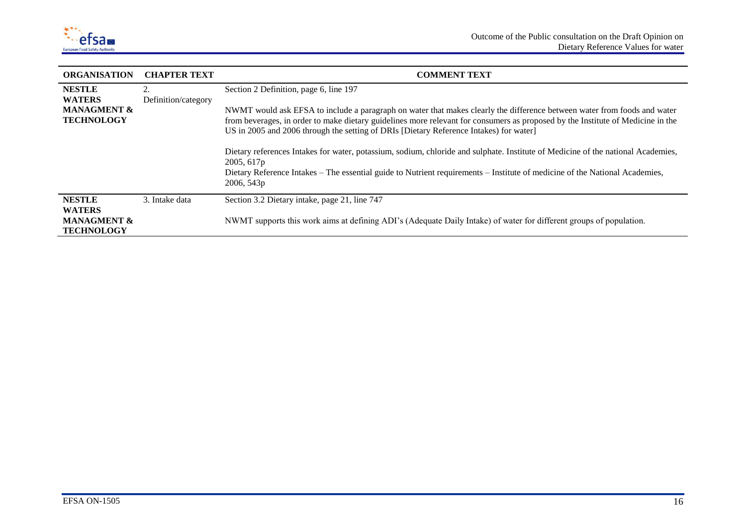

| <b>ORGANISATION</b>                                                           | <b>CHAPTER TEXT</b>       | <b>COMMENT TEXT</b>                                                                                                                                                                                                                                                                                                                                                                                                                                                                                                                                                                                                                                                                            |
|-------------------------------------------------------------------------------|---------------------------|------------------------------------------------------------------------------------------------------------------------------------------------------------------------------------------------------------------------------------------------------------------------------------------------------------------------------------------------------------------------------------------------------------------------------------------------------------------------------------------------------------------------------------------------------------------------------------------------------------------------------------------------------------------------------------------------|
| <b>NESTLE</b><br><b>WATERS</b><br><b>MANAGMENT &amp;</b><br><b>TECHNOLOGY</b> | 2.<br>Definition/category | Section 2 Definition, page 6, line 197<br>NWMT would ask EFSA to include a paragraph on water that makes clearly the difference between water from foods and water<br>from beverages, in order to make dietary guidelines more relevant for consumers as proposed by the Institute of Medicine in the<br>US in 2005 and 2006 through the setting of DRIs [Dietary Reference Intakes] for water]<br>Dietary references Intakes for water, potassium, sodium, chloride and sulphate. Institute of Medicine of the national Academies,<br>2005, 617p<br>Dietary Reference Intakes – The essential guide to Nutrient requirements – Institute of medicine of the National Academies,<br>2006, 543p |
| <b>NESTLE</b><br><b>WATERS</b><br><b>MANAGMENT &amp;</b><br><b>TECHNOLOGY</b> | 3. Intake data            | Section 3.2 Dietary intake, page 21, line 747<br>NWMT supports this work aims at defining ADI's (Adequate Daily Intake) of water for different groups of population.                                                                                                                                                                                                                                                                                                                                                                                                                                                                                                                           |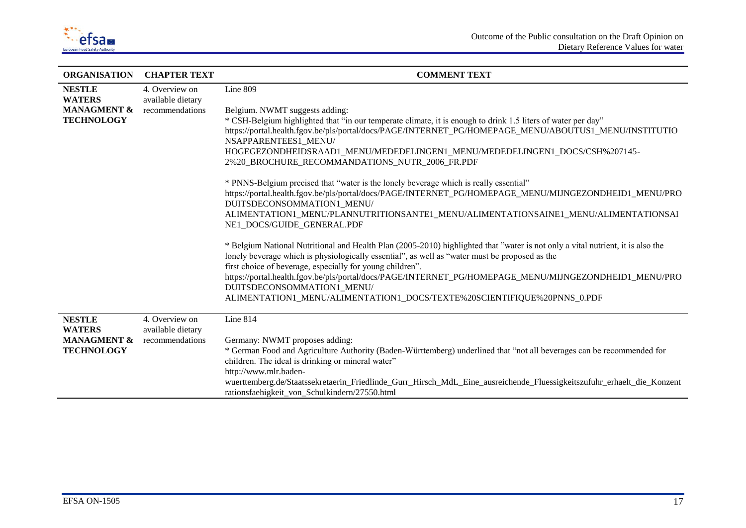

| <b>ORGANISATION</b>            | <b>CHAPTER TEXT</b>                 | <b>COMMENT TEXT</b>                                                                                                                                                                                                               |
|--------------------------------|-------------------------------------|-----------------------------------------------------------------------------------------------------------------------------------------------------------------------------------------------------------------------------------|
| <b>NESTLE</b><br><b>WATERS</b> | 4. Overview on<br>available dietary | Line 809                                                                                                                                                                                                                          |
| <b>MANAGMENT &amp;</b>         | recommendations                     | Belgium. NWMT suggests adding:                                                                                                                                                                                                    |
| <b>TECHNOLOGY</b>              |                                     | * CSH-Belgium highlighted that "in our temperate climate, it is enough to drink 1.5 liters of water per day"                                                                                                                      |
|                                |                                     | https://portal.health.fgov.be/pls/portal/docs/PAGE/INTERNET_PG/HOMEPAGE_MENU/ABOUTUS1_MENU/INSTITUTIO<br>NSAPPARENTEES1_MENU/                                                                                                     |
|                                |                                     | HOGEGEZONDHEIDSRAAD1_MENU/MEDEDELINGEN1_MENU/MEDEDELINGEN1_DOCS/CSH%207145-                                                                                                                                                       |
|                                |                                     | 2%20_BROCHURE_RECOMMANDATIONS_NUTR_2006_FR.PDF                                                                                                                                                                                    |
|                                |                                     | * PNNS-Belgium precised that "water is the lonely beverage which is really essential"                                                                                                                                             |
|                                |                                     | https://portal.health.fgov.be/pls/portal/docs/PAGE/INTERNET_PG/HOMEPAGE_MENU/MIJNGEZONDHEID1_MENU/PRO<br>DUITSDECONSOMMATION1 MENU/                                                                                               |
|                                |                                     | ALIMENTATION1_MENU/PLANNUTRITIONSANTE1_MENU/ALIMENTATIONSAINE1_MENU/ALIMENTATIONSAI<br>NE1 DOCS/GUIDE GENERAL.PDF                                                                                                                 |
|                                |                                     | * Belgium National Nutritional and Health Plan (2005-2010) highlighted that "water is not only a vital nutrient, it is also the<br>lonely beverage which is physiologically essential", as well as "water must be proposed as the |
|                                |                                     | first choice of beverage, especially for young children".                                                                                                                                                                         |
|                                |                                     | https://portal.health.fgov.be/pls/portal/docs/PAGE/INTERNET_PG/HOMEPAGE_MENU/MIJNGEZONDHEID1_MENU/PRO<br>DUITSDECONSOMMATION1_MENU/                                                                                               |
|                                |                                     | ALIMENTATION1_MENU/ALIMENTATION1_DOCS/TEXTE%20SCIENTIFIQUE%20PNNS_0.PDF                                                                                                                                                           |
| <b>NESTLE</b>                  | 4. Overview on                      | Line 814                                                                                                                                                                                                                          |
| <b>WATERS</b>                  | available dietary                   |                                                                                                                                                                                                                                   |
| <b>MANAGMENT &amp;</b>         | recommendations                     | Germany: NWMT proposes adding:                                                                                                                                                                                                    |
| <b>TECHNOLOGY</b>              |                                     | * German Food and Agriculture Authority (Baden-Württemberg) underlined that "not all beverages can be recommended for<br>children. The ideal is drinking or mineral water"                                                        |
|                                |                                     | http://www.mlr.baden-                                                                                                                                                                                                             |
|                                |                                     | wuerttemberg.de/Staatssekretaerin_Friedlinde_Gurr_Hirsch_MdL_Eine_ausreichende_Fluessigkeitszufuhr_erhaelt_die_Konzent                                                                                                            |
|                                |                                     | rationsfaehigkeit von Schulkindern/27550.html                                                                                                                                                                                     |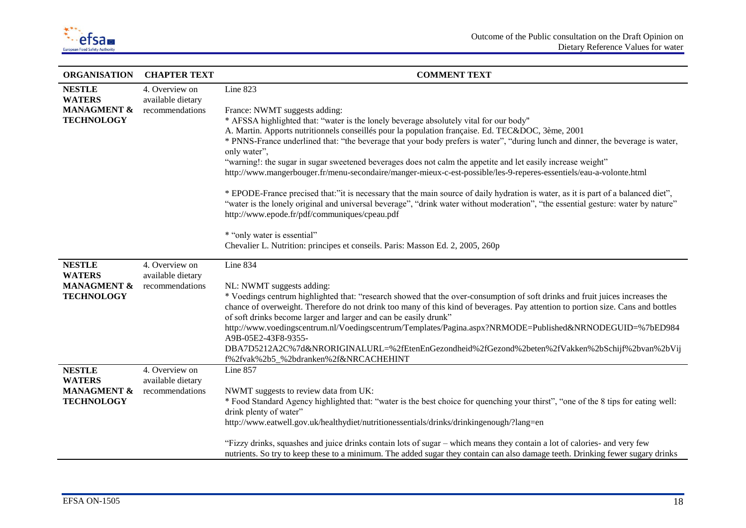

| <b>ORGANISATION</b>                                                           | <b>CHAPTER TEXT</b>                                    | <b>COMMENT TEXT</b>                                                                                                                                                                                                                                                                                                                                                                                                                                                                                                                                                                                                                                                                                                                                                                                                                                                                                                                                           |
|-------------------------------------------------------------------------------|--------------------------------------------------------|---------------------------------------------------------------------------------------------------------------------------------------------------------------------------------------------------------------------------------------------------------------------------------------------------------------------------------------------------------------------------------------------------------------------------------------------------------------------------------------------------------------------------------------------------------------------------------------------------------------------------------------------------------------------------------------------------------------------------------------------------------------------------------------------------------------------------------------------------------------------------------------------------------------------------------------------------------------|
| <b>NESTLE</b><br><b>WATERS</b><br><b>MANAGMENT &amp;</b><br><b>TECHNOLOGY</b> | 4. Overview on<br>available dietary<br>recommendations | Line 823<br>France: NWMT suggests adding:<br>* AFSSA highlighted that: "water is the lonely beverage absolutely vital for our body"<br>A. Martin. Apports nutritionnels conseillés pour la population française. Ed. TEC&DOC, 3ème, 2001<br>* PNNS-France underlined that: "the beverage that your body prefers is water", "during lunch and dinner, the beverage is water,<br>only water",<br>"warning!: the sugar in sugar sweetened beverages does not calm the appetite and let easily increase weight"<br>http://www.mangerbouger.fr/menu-secondaire/manger-mieux-c-est-possible/les-9-reperes-essentiels/eau-a-volonte.html<br>* EPODE-France precised that:"it is necessary that the main source of daily hydration is water, as it is part of a balanced diet",<br>"water is the lonely original and universal beverage", "drink water without moderation", "the essential gesture: water by nature"<br>http://www.epode.fr/pdf/communiques/cpeau.pdf |
|                                                                               |                                                        | * "only water is essential"<br>Chevalier L. Nutrition: principes et conseils. Paris: Masson Ed. 2, 2005, 260p                                                                                                                                                                                                                                                                                                                                                                                                                                                                                                                                                                                                                                                                                                                                                                                                                                                 |
| <b>NESTLE</b><br><b>WATERS</b><br><b>MANAGMENT &amp;</b><br><b>TECHNOLOGY</b> | 4. Overview on<br>available dietary<br>recommendations | Line 834<br>NL: NWMT suggests adding:<br>* Voedings centrum highlighted that: "research showed that the over-consumption of soft drinks and fruit juices increases the<br>chance of overweight. Therefore do not drink too many of this kind of beverages. Pay attention to portion size. Cans and bottles<br>of soft drinks become larger and larger and can be easily drunk"<br>http://www.voedingscentrum.nl/Voedingscentrum/Templates/Pagina.aspx?NRMODE=Published&NRNODEGUID=%7bED984<br>A9B-05E2-43F8-9355-<br>DBA7D5212A2C%7d&NRORIGINALURL=%2fEtenEnGezondheid%2fGezond%2beten%2fVakken%2bSchijf%2bvan%2bVij<br>f%2fvak%2b5_%2bdranken%2f&NRCACHEHINT                                                                                                                                                                                                                                                                                                 |
| <b>NESTLE</b><br><b>WATERS</b><br><b>MANAGMENT &amp;</b><br><b>TECHNOLOGY</b> | 4. Overview on<br>available dietary<br>recommendations | Line 857<br>NWMT suggests to review data from UK:<br>* Food Standard Agency highlighted that: "water is the best choice for quenching your thirst", "one of the 8 tips for eating well:<br>drink plenty of water"<br>http://www.eatwell.gov.uk/healthydiet/nutritionessentials/drinks/drinkingenough/?lang=en<br>"Fizzy drinks, squashes and juice drinks contain lots of sugar – which means they contain a lot of calories- and very few<br>nutrients. So try to keep these to a minimum. The added sugar they contain can also damage teeth. Drinking fewer sugary drinks                                                                                                                                                                                                                                                                                                                                                                                  |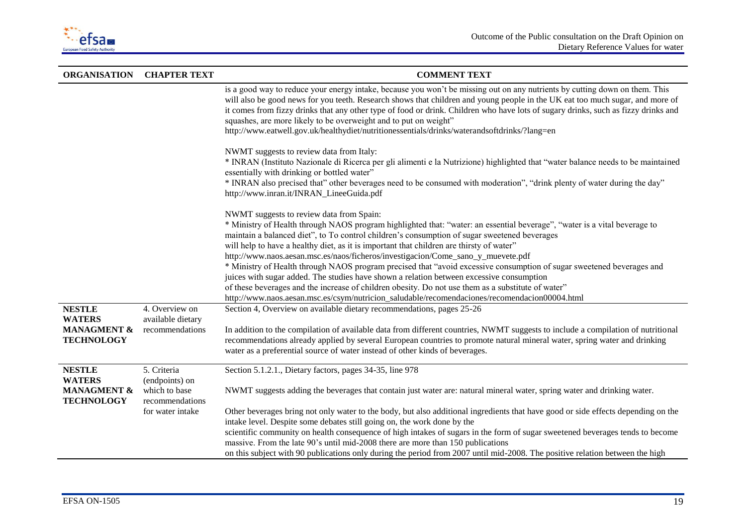

| <b>ORGANISATION</b>                                                           | <b>CHAPTER TEXT</b>                                                                   | <b>COMMENT TEXT</b>                                                                                                                                                                                                                                                                                                                                                                                                                                                                                                                                                                                                                                                                                                                                                                                                                                                               |
|-------------------------------------------------------------------------------|---------------------------------------------------------------------------------------|-----------------------------------------------------------------------------------------------------------------------------------------------------------------------------------------------------------------------------------------------------------------------------------------------------------------------------------------------------------------------------------------------------------------------------------------------------------------------------------------------------------------------------------------------------------------------------------------------------------------------------------------------------------------------------------------------------------------------------------------------------------------------------------------------------------------------------------------------------------------------------------|
|                                                                               |                                                                                       | is a good way to reduce your energy intake, because you won't be missing out on any nutrients by cutting down on them. This<br>will also be good news for you teeth. Research shows that children and young people in the UK eat too much sugar, and more of<br>it comes from fizzy drinks that any other type of food or drink. Children who have lots of sugary drinks, such as fizzy drinks and<br>squashes, are more likely to be overweight and to put on weight"<br>http://www.eatwell.gov.uk/healthydiet/nutritionessentials/drinks/waterandsoftdrinks/?lang=en                                                                                                                                                                                                                                                                                                            |
|                                                                               |                                                                                       | NWMT suggests to review data from Italy:<br>* INRAN (Instituto Nazionale di Ricerca per gli alimenti e la Nutrizione) highlighted that "water balance needs to be maintained<br>essentially with drinking or bottled water"<br>* INRAN also precised that" other beverages need to be consumed with moderation", "drink plenty of water during the day"<br>http://www.inran.it/INRAN_LineeGuida.pdf                                                                                                                                                                                                                                                                                                                                                                                                                                                                               |
|                                                                               |                                                                                       | NWMT suggests to review data from Spain:<br>* Ministry of Health through NAOS program highlighted that: "water: an essential beverage", "water is a vital beverage to<br>maintain a balanced diet", to To control children's consumption of sugar sweetened beverages<br>will help to have a healthy diet, as it is important that children are thirsty of water"<br>http://www.naos.aesan.msc.es/naos/ficheros/investigacion/Come_sano_y_muevete.pdf<br>* Ministry of Health through NAOS program precised that "avoid excessive consumption of sugar sweetened beverages and<br>juices with sugar added. The studies have shown a relation between excessive consumption<br>of these beverages and the increase of children obesity. Do not use them as a substitute of water"<br>http://www.naos.aesan.msc.es/csym/nutricion_saludable/recomendaciones/recomendacion00004.html |
| <b>NESTLE</b><br><b>WATERS</b><br><b>MANAGMENT &amp;</b><br><b>TECHNOLOGY</b> | 4. Overview on<br>available dietary<br>recommendations                                | Section 4, Overview on available dietary recommendations, pages 25-26<br>In addition to the compilation of available data from different countries, NWMT suggests to include a compilation of nutritional<br>recommendations already applied by several European countries to promote natural mineral water, spring water and drinking<br>water as a preferential source of water instead of other kinds of beverages.                                                                                                                                                                                                                                                                                                                                                                                                                                                            |
| <b>NESTLE</b><br><b>WATERS</b><br><b>MANAGMENT &amp;</b><br><b>TECHNOLOGY</b> | 5. Criteria<br>(endpoints) on<br>which to base<br>recommendations<br>for water intake | Section 5.1.2.1., Dietary factors, pages 34-35, line 978<br>NWMT suggests adding the beverages that contain just water are: natural mineral water, spring water and drinking water.<br>Other beverages bring not only water to the body, but also additional ingredients that have good or side effects depending on the<br>intake level. Despite some debates still going on, the work done by the<br>scientific community on health consequence of high intakes of sugars in the form of sugar sweetened beverages tends to become                                                                                                                                                                                                                                                                                                                                              |
|                                                                               |                                                                                       | massive. From the late 90's until mid-2008 there are more than 150 publications<br>on this subject with 90 publications only during the period from 2007 until mid-2008. The positive relation between the high                                                                                                                                                                                                                                                                                                                                                                                                                                                                                                                                                                                                                                                                   |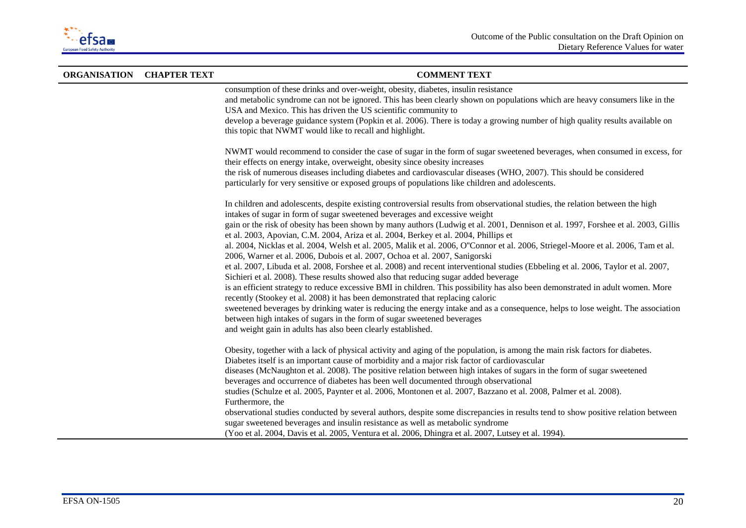

| <b>ORGANISATION CHAPTER TEXT</b> | <b>COMMENT TEXT</b>                                                                                                                                                                                                                                                                                                                                                                                                                                                                                                                                                                                                                                                                                                                                                                                                                                                                                                                                                                                                                                                                                                                                                                                                                                                                                                                                                                        |
|----------------------------------|--------------------------------------------------------------------------------------------------------------------------------------------------------------------------------------------------------------------------------------------------------------------------------------------------------------------------------------------------------------------------------------------------------------------------------------------------------------------------------------------------------------------------------------------------------------------------------------------------------------------------------------------------------------------------------------------------------------------------------------------------------------------------------------------------------------------------------------------------------------------------------------------------------------------------------------------------------------------------------------------------------------------------------------------------------------------------------------------------------------------------------------------------------------------------------------------------------------------------------------------------------------------------------------------------------------------------------------------------------------------------------------------|
|                                  | consumption of these drinks and over-weight, obesity, diabetes, insulin resistance<br>and metabolic syndrome can not be ignored. This has been clearly shown on populations which are heavy consumers like in the<br>USA and Mexico. This has driven the US scientific community to<br>develop a beverage guidance system (Popkin et al. 2006). There is today a growing number of high quality results available on<br>this topic that NWMT would like to recall and highlight.                                                                                                                                                                                                                                                                                                                                                                                                                                                                                                                                                                                                                                                                                                                                                                                                                                                                                                           |
|                                  | NWMT would recommend to consider the case of sugar in the form of sugar sweetened beverages, when consumed in excess, for<br>their effects on energy intake, overweight, obesity since obesity increases<br>the risk of numerous diseases including diabetes and cardiovascular diseases (WHO, 2007). This should be considered<br>particularly for very sensitive or exposed groups of populations like children and adolescents.                                                                                                                                                                                                                                                                                                                                                                                                                                                                                                                                                                                                                                                                                                                                                                                                                                                                                                                                                         |
|                                  | In children and adolescents, despite existing controversial results from observational studies, the relation between the high<br>intakes of sugar in form of sugar sweetened beverages and excessive weight<br>gain or the risk of obesity has been shown by many authors (Ludwig et al. 2001, Dennison et al. 1997, Forshee et al. 2003, Gillis<br>et al. 2003, Apovian, C.M. 2004, Ariza et al. 2004, Berkey et al. 2004, Phillips et<br>al. 2004, Nicklas et al. 2004, Welsh et al. 2005, Malik et al. 2006, O"Connor et al. 2006, Striegel-Moore et al. 2006, Tam et al.<br>2006, Warner et al. 2006, Dubois et al. 2007, Ochoa et al. 2007, Sanigorski<br>et al. 2007, Libuda et al. 2008, Forshee et al. 2008) and recent interventional studies (Ebbeling et al. 2006, Taylor et al. 2007,<br>Sichieri et al. 2008). These results showed also that reducing sugar added beverage<br>is an efficient strategy to reduce excessive BMI in children. This possibility has also been demonstrated in adult women. More<br>recently (Stookey et al. 2008) it has been demonstrated that replacing caloric<br>sweetened beverages by drinking water is reducing the energy intake and as a consequence, helps to lose weight. The association<br>between high intakes of sugars in the form of sugar sweetened beverages<br>and weight gain in adults has also been clearly established. |
|                                  | Obesity, together with a lack of physical activity and aging of the population, is among the main risk factors for diabetes.<br>Diabetes itself is an important cause of morbidity and a major risk factor of cardiovascular<br>diseases (McNaughton et al. 2008). The positive relation between high intakes of sugars in the form of sugar sweetened<br>beverages and occurrence of diabetes has been well documented through observational<br>studies (Schulze et al. 2005, Paynter et al. 2006, Montonen et al. 2007, Bazzano et al. 2008, Palmer et al. 2008).<br>Furthermore, the<br>observational studies conducted by several authors, despite some discrepancies in results tend to show positive relation between<br>sugar sweetened beverages and insulin resistance as well as metabolic syndrome<br>(Yoo et al. 2004, Davis et al. 2005, Ventura et al. 2006, Dhingra et al. 2007, Lutsey et al. 1994).                                                                                                                                                                                                                                                                                                                                                                                                                                                                       |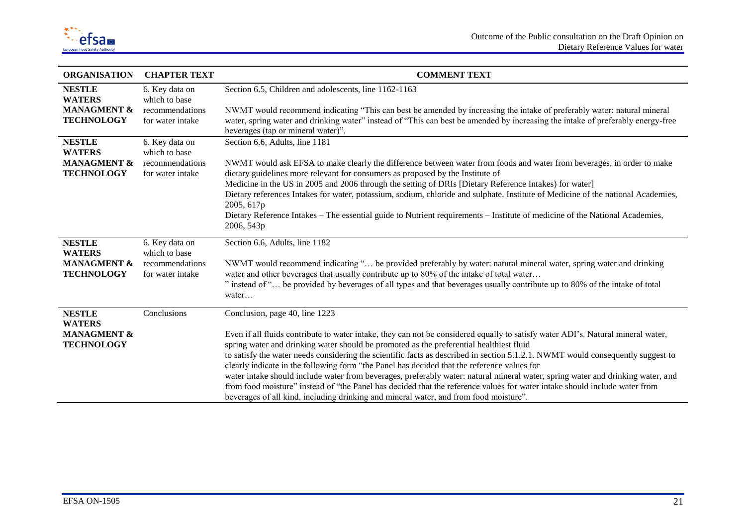

| <b>ORGANISATION</b>                                                           | <b>CHAPTER TEXT</b>                                                    | <b>COMMENT TEXT</b>                                                                                                                                                                                                                                                                                                                                                                                                                                                                                                                                                                                                                                                                                                                                                                                                                                       |
|-------------------------------------------------------------------------------|------------------------------------------------------------------------|-----------------------------------------------------------------------------------------------------------------------------------------------------------------------------------------------------------------------------------------------------------------------------------------------------------------------------------------------------------------------------------------------------------------------------------------------------------------------------------------------------------------------------------------------------------------------------------------------------------------------------------------------------------------------------------------------------------------------------------------------------------------------------------------------------------------------------------------------------------|
| <b>NESTLE</b><br><b>WATERS</b><br><b>MANAGMENT &amp;</b><br><b>TECHNOLOGY</b> | 6. Key data on<br>which to base<br>recommendations<br>for water intake | Section 6.5, Children and adolescents, line 1162-1163<br>NWMT would recommend indicating "This can best be amended by increasing the intake of preferably water: natural mineral<br>water, spring water and drinking water" instead of "This can best be amended by increasing the intake of preferably energy-free<br>beverages (tap or mineral water)".                                                                                                                                                                                                                                                                                                                                                                                                                                                                                                 |
| <b>NESTLE</b><br><b>WATERS</b><br><b>MANAGMENT &amp;</b><br><b>TECHNOLOGY</b> | 6. Key data on<br>which to base<br>recommendations<br>for water intake | Section 6.6, Adults, line 1181<br>NWMT would ask EFSA to make clearly the difference between water from foods and water from beverages, in order to make<br>dietary guidelines more relevant for consumers as proposed by the Institute of<br>Medicine in the US in 2005 and 2006 through the setting of DRIs [Dietary Reference Intakes) for water]<br>Dietary references Intakes for water, potassium, sodium, chloride and sulphate. Institute of Medicine of the national Academies,<br>2005, 617p<br>Dietary Reference Intakes – The essential guide to Nutrient requirements – Institute of medicine of the National Academies,<br>2006, 543p                                                                                                                                                                                                       |
| <b>NESTLE</b><br><b>WATERS</b><br><b>MANAGMENT &amp;</b><br><b>TECHNOLOGY</b> | 6. Key data on<br>which to base<br>recommendations<br>for water intake | Section 6.6, Adults, line 1182<br>NWMT would recommend indicating " be provided preferably by water: natural mineral water, spring water and drinking<br>water and other beverages that usually contribute up to 80% of the intake of total water<br>" instead of " be provided by beverages of all types and that beverages usually contribute up to 80% of the intake of total<br>water                                                                                                                                                                                                                                                                                                                                                                                                                                                                 |
| <b>NESTLE</b><br><b>WATERS</b><br><b>MANAGMENT &amp;</b><br><b>TECHNOLOGY</b> | Conclusions                                                            | Conclusion, page 40, line 1223<br>Even if all fluids contribute to water intake, they can not be considered equally to satisfy water ADI's. Natural mineral water,<br>spring water and drinking water should be promoted as the preferential healthiest fluid<br>to satisfy the water needs considering the scientific facts as described in section 5.1.2.1. NWMT would consequently suggest to<br>clearly indicate in the following form "the Panel has decided that the reference values for<br>water intake should include water from beverages, preferably water: natural mineral water, spring water and drinking water, and<br>from food moisture" instead of "the Panel has decided that the reference values for water intake should include water from<br>beverages of all kind, including drinking and mineral water, and from food moisture". |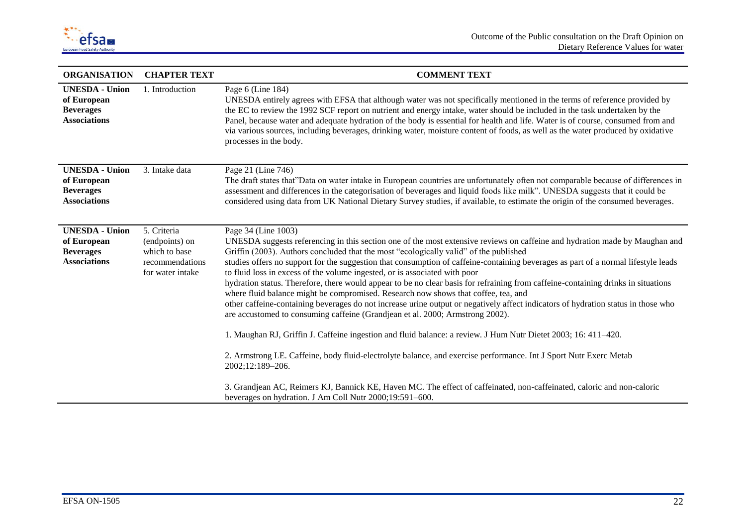

| <b>ORGANISATION</b>                                                             | <b>CHAPTER TEXT</b>                                                                   | <b>COMMENT TEXT</b>                                                                                                                                                                                                                                                                                                                                                                                                                                                                                                                                                                                                                                                                                                                                                                                                                                                                                                                                                                                                                                                                                                                                                                                                                                                                                                                                              |
|---------------------------------------------------------------------------------|---------------------------------------------------------------------------------------|------------------------------------------------------------------------------------------------------------------------------------------------------------------------------------------------------------------------------------------------------------------------------------------------------------------------------------------------------------------------------------------------------------------------------------------------------------------------------------------------------------------------------------------------------------------------------------------------------------------------------------------------------------------------------------------------------------------------------------------------------------------------------------------------------------------------------------------------------------------------------------------------------------------------------------------------------------------------------------------------------------------------------------------------------------------------------------------------------------------------------------------------------------------------------------------------------------------------------------------------------------------------------------------------------------------------------------------------------------------|
| <b>UNESDA</b> - Union<br>of European<br><b>Beverages</b><br><b>Associations</b> | 1. Introduction                                                                       | Page $6$ (Line 184)<br>UNESDA entirely agrees with EFSA that although water was not specifically mentioned in the terms of reference provided by<br>the EC to review the 1992 SCF report on nutrient and energy intake, water should be included in the task undertaken by the<br>Panel, because water and adequate hydration of the body is essential for health and life. Water is of course, consumed from and<br>via various sources, including beverages, drinking water, moisture content of foods, as well as the water produced by oxidative<br>processes in the body.                                                                                                                                                                                                                                                                                                                                                                                                                                                                                                                                                                                                                                                                                                                                                                                   |
| <b>UNESDA</b> - Union<br>of European<br><b>Beverages</b><br><b>Associations</b> | 3. Intake data                                                                        | Page 21 (Line 746)<br>The draft states that"Data on water intake in European countries are unfortunately often not comparable because of differences in<br>assessment and differences in the categorisation of beverages and liquid foods like milk". UNESDA suggests that it could be<br>considered using data from UK National Dietary Survey studies, if available, to estimate the origin of the consumed beverages.                                                                                                                                                                                                                                                                                                                                                                                                                                                                                                                                                                                                                                                                                                                                                                                                                                                                                                                                         |
| <b>UNESDA</b> - Union<br>of European<br><b>Beverages</b><br><b>Associations</b> | 5. Criteria<br>(endpoints) on<br>which to base<br>recommendations<br>for water intake | Page 34 (Line 1003)<br>UNESDA suggests referencing in this section one of the most extensive reviews on caffeine and hydration made by Maughan and<br>Griffin (2003). Authors concluded that the most "ecologically valid" of the published<br>studies offers no support for the suggestion that consumption of caffeine-containing beverages as part of a normal lifestyle leads<br>to fluid loss in excess of the volume ingested, or is associated with poor<br>hydration status. Therefore, there would appear to be no clear basis for refraining from caffeine-containing drinks in situations<br>where fluid balance might be compromised. Research now shows that coffee, tea, and<br>other caffeine-containing beverages do not increase urine output or negatively affect indicators of hydration status in those who<br>are accustomed to consuming caffeine (Grandjean et al. 2000; Armstrong 2002).<br>1. Maughan RJ, Griffin J. Caffeine ingestion and fluid balance: a review. J Hum Nutr Dietet 2003; 16: 411–420.<br>2. Armstrong LE. Caffeine, body fluid-electrolyte balance, and exercise performance. Int J Sport Nutr Exerc Metab<br>2002;12:189-206.<br>3. Grandjean AC, Reimers KJ, Bannick KE, Haven MC. The effect of caffeinated, non-caffeinated, caloric and non-caloric<br>beverages on hydration. J Am Coll Nutr 2000;19:591-600. |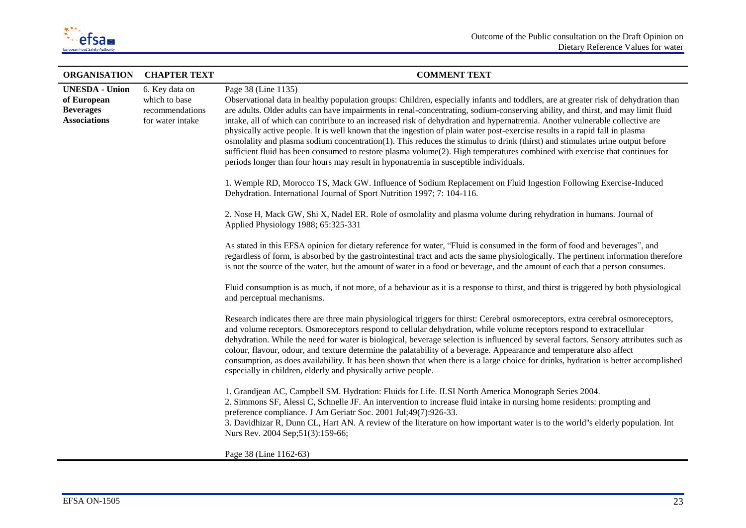

| <b>ORGANISATION</b>                                                             | <b>CHAPTER TEXT</b>                                                    | <b>COMMENT TEXT</b>                                                                                                                                                                                                                                                                                                                                                                                                                                                                                                                                                                                                                                                                                                                                                                                                                                                                                                         |
|---------------------------------------------------------------------------------|------------------------------------------------------------------------|-----------------------------------------------------------------------------------------------------------------------------------------------------------------------------------------------------------------------------------------------------------------------------------------------------------------------------------------------------------------------------------------------------------------------------------------------------------------------------------------------------------------------------------------------------------------------------------------------------------------------------------------------------------------------------------------------------------------------------------------------------------------------------------------------------------------------------------------------------------------------------------------------------------------------------|
| <b>UNESDA</b> - Union<br>of European<br><b>Beverages</b><br><b>Associations</b> | 6. Key data on<br>which to base<br>recommendations<br>for water intake | Page 38 (Line 1135)<br>Observational data in healthy population groups: Children, especially infants and toddlers, are at greater risk of dehydration than<br>are adults. Older adults can have impairments in renal-concentrating, sodium-conserving ability, and thirst, and may limit fluid<br>intake, all of which can contribute to an increased risk of dehydration and hypernatremia. Another vulnerable collective are<br>physically active people. It is well known that the ingestion of plain water post-exercise results in a rapid fall in plasma<br>osmolality and plasma sodium concentration $(1)$ . This reduces the stimulus to drink (thirst) and stimulates urine output before<br>sufficient fluid has been consumed to restore plasma volume(2). High temperatures combined with exercise that continues for<br>periods longer than four hours may result in hyponatremia in susceptible individuals. |
|                                                                                 |                                                                        | 1. Wemple RD, Morocco TS, Mack GW. Influence of Sodium Replacement on Fluid Ingestion Following Exercise-Induced<br>Dehydration. International Journal of Sport Nutrition 1997; 7: 104-116.                                                                                                                                                                                                                                                                                                                                                                                                                                                                                                                                                                                                                                                                                                                                 |
|                                                                                 |                                                                        | 2. Nose H, Mack GW, Shi X, Nadel ER. Role of osmolality and plasma volume during rehydration in humans. Journal of<br>Applied Physiology 1988; 65:325-331                                                                                                                                                                                                                                                                                                                                                                                                                                                                                                                                                                                                                                                                                                                                                                   |
|                                                                                 |                                                                        | As stated in this EFSA opinion for dietary reference for water, "Fluid is consumed in the form of food and beverages", and<br>regardless of form, is absorbed by the gastrointestinal tract and acts the same physiologically. The pertinent information therefore<br>is not the source of the water, but the amount of water in a food or beverage, and the amount of each that a person consumes.                                                                                                                                                                                                                                                                                                                                                                                                                                                                                                                         |
|                                                                                 |                                                                        | Fluid consumption is as much, if not more, of a behaviour as it is a response to thirst, and thirst is triggered by both physiological<br>and perceptual mechanisms.                                                                                                                                                                                                                                                                                                                                                                                                                                                                                                                                                                                                                                                                                                                                                        |
|                                                                                 |                                                                        | Research indicates there are three main physiological triggers for thirst: Cerebral osmoreceptors, extra cerebral osmoreceptors,<br>and volume receptors. Osmoreceptors respond to cellular dehydration, while volume receptors respond to extracellular<br>dehydration. While the need for water is biological, beverage selection is influenced by several factors. Sensory attributes such as<br>colour, flavour, odour, and texture determine the palatability of a beverage. Appearance and temperature also affect<br>consumption, as does availability. It has been shown that when there is a large choice for drinks, hydration is better accomplished<br>especially in children, elderly and physically active people.                                                                                                                                                                                            |
|                                                                                 |                                                                        | 1. Grandjean AC, Campbell SM. Hydration: Fluids for Life. ILSI North America Monograph Series 2004.<br>2. Simmons SF, Alessi C, Schnelle JF. An intervention to increase fluid intake in nursing home residents: prompting and<br>preference compliance. J Am Geriatr Soc. 2001 Jul;49(7):926-33.<br>3. Davidhizar R, Dunn CL, Hart AN. A review of the literature on how important water is to the world"s elderly population. Int<br>Nurs Rev. 2004 Sep;51(3):159-66;                                                                                                                                                                                                                                                                                                                                                                                                                                                     |
|                                                                                 |                                                                        | Page 38 (Line 1162-63)                                                                                                                                                                                                                                                                                                                                                                                                                                                                                                                                                                                                                                                                                                                                                                                                                                                                                                      |